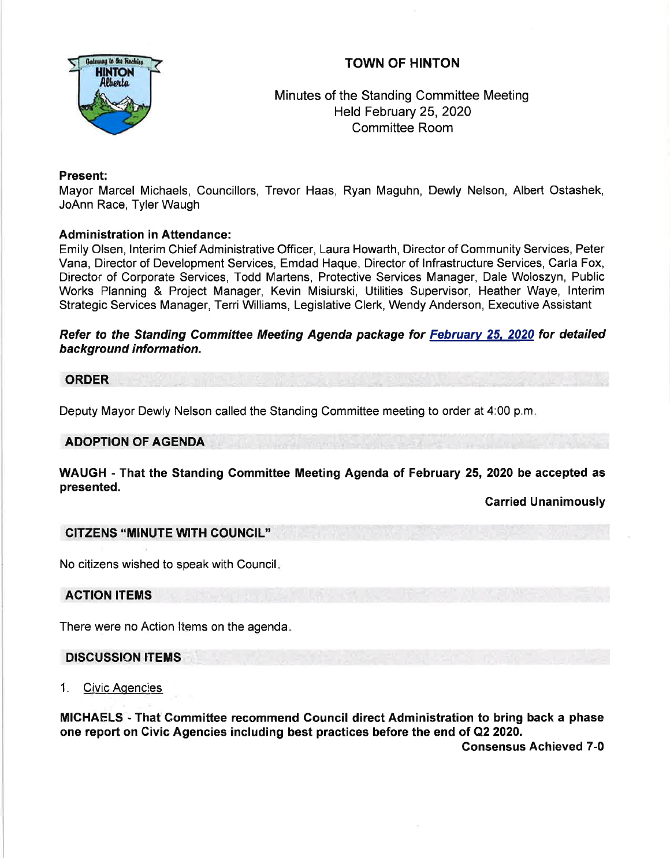



# Minutes of the Standing Committee Meeting Held February 25,2020 Committee Room

## Present:

Mayor Marcel Michaels, Councillors, Trevor Haas, Ryan Maguhn, Dewly Nelson, Albert Ostashek, JoAnn Race, Tyler Waugh

## Administration in Attendance:

Emily Olsen, lnterim Chief Administrative Officer, Laura Howarth, Director of Community Services, Peter Vana, Director of Development Services, Emdad Haque, Director of lnfrastructure Services, Carla Fox, Director of Corporate Services, Todd Martens, Protective Services Manager, Dale Woloszyn, Public Works Planning & Project Manager, Kevin Misiurski, Utilities Supervisor, Heather Waye, lnterim Strategic Services Manager, Terri Williams, Legislative Clerk, Wendy Anderson, Executive Assistant

## Refer to the Standing Committee Meeting Agenda package for Februarv 25, 2020 for detailed background information.

### ORDER

Deputy Mayor Dewly Nelson called the Standing Committee meeting to order at 4:00 p.m

### ADOPTION OF AGENDA

WAUGH - That the Standing Gommittee Meeting Agenda of February 25, 2020 be accepted as presented.

Garried Unanimously

### CITZENS "MINUTE WITH COUNGIL"

No citizens wished to speak with Council

ACTION ITEMS

There were no Action Items on the agenda.

### DISCUSSION ITEMS

1. Civic Aqencies

MICHAELS - That Gommittee recommend Gouncil direct Administration to bring back a phase one report on Civic Agencies including best practices before the end of Q2 2020.

Consensus Achieved 7-0